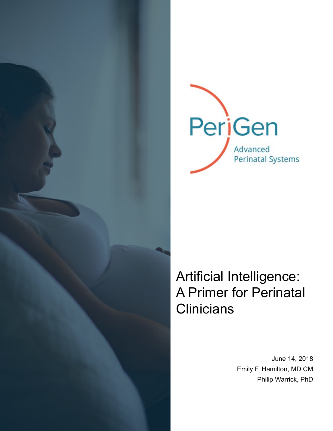

# Artificial Intelligence: A Primer for Perinatal **Clinicians**

June 14, 2018 Emily F. Hamilton, MD CM Philip Warrick, PhD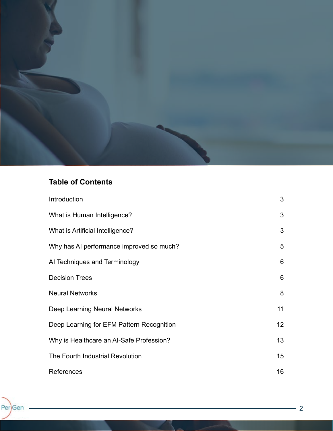

## **Table of Contents**

| Introduction                              | 3                |
|-------------------------------------------|------------------|
| What is Human Intelligence?               | 3                |
| What is Artificial Intelligence?          | 3                |
| Why has AI performance improved so much?  | $5\overline{)}$  |
| Al Techniques and Terminology             | 6                |
| <b>Decision Trees</b>                     | 6                |
| <b>Neural Networks</b>                    | 8                |
| Deep Learning Neural Networks             | 11               |
| Deep Learning for EFM Pattern Recognition | 12 <sup>°</sup>  |
| Why is Healthcare an Al-Safe Profession?  | 13 <sup>2</sup>  |
| The Fourth Industrial Revolution          | 15 <sub>15</sub> |
| References                                | 16               |

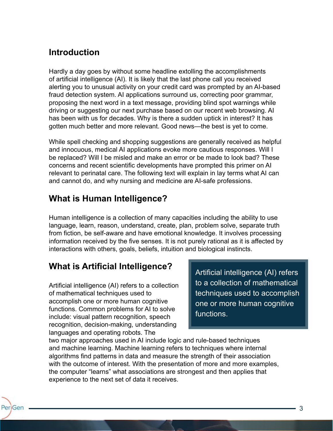# **Introduction**

Hardly a day goes by without some headline extolling the accomplishments of artificial intelligence (AI). It is likely that the last phone call you received alerting you to unusual activity on your credit card was prompted by an AI-based fraud detection system. AI applications surround us, correcting poor grammar, proposing the next word in a text message, providing blind spot warnings while driving or suggesting our next purchase based on our recent web browsing. AI has been with us for decades. Why is there a sudden uptick in interest? It has gotten much better and more relevant. Good news—the best is yet to come.

While spell checking and shopping suggestions are generally received as helpful and innocuous, medical AI applications evoke more cautious responses. Will I be replaced? Will I be misled and make an error or be made to look bad? These concerns and recent scientific developments have prompted this primer on AI relevant to perinatal care. The following text will explain in lay terms what AI can and cannot do, and why nursing and medicine are AI-safe professions.

#### **What is Human Intelligence?**

Human intelligence is a collection of many capacities including the ability to use language, learn, reason, understand, create, plan, problem solve, separate truth from fiction, be self-aware and have emotional knowledge. It involves processing information received by the five senses. It is not purely rational as it is affected by interactions with others, goals, beliefs, intuition and biological instincts.

# **What is Artificial Intelligence?**

Artificial intelligence (AI) refers to a collection of mathematical techniques used to accomplish one or more human cognitive functions. Common problems for AI to solve include: visual pattern recognition, speech recognition, decision-making, understanding languages and operating robots. The

PeriGen

Artificial intelligence (AI) refers to a collection of mathematical techniques used to accomplish one or more human cognitive functions.

two major approaches used in AI include logic and rule-based techniques and machine learning. Machine learning refers to techniques where internal algorithms find patterns in data and measure the strength of their association with the outcome of interest. With the presentation of more and more examples, the computer "learns" what associations are strongest and then applies that experience to the next set of data it receives.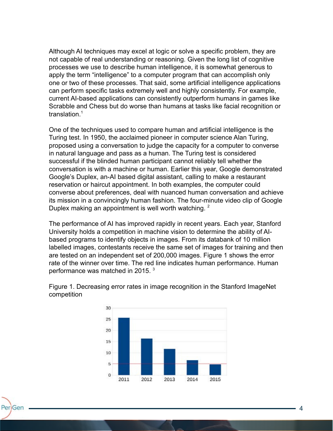Although AI techniques may excel at logic or solve a specific problem, they are not capable of real understanding or reasoning. Given the long list of cognitive processes we use to describe human intelligence, it is somewhat generous to apply the term "intelligence" to a computer program that can accomplish only one or two of these processes. That said, some artificial intelligence applications can perform specific tasks extremely well and highly consistently. For example, current AI-based applications can consistently outperform humans in games like Scrabble and Chess but do worse than humans at tasks like facial recognition or translation. $1$ 

One of the techniques used to compare human and artificial intelligence is the Turing test. In 1950, the acclaimed pioneer in computer science Alan Turing, proposed using a conversation to judge the capacity for a computer to converse in natural language and pass as a human. The Turing test is considered successful if the blinded human participant cannot reliably tell whether the conversation is with a machine or human. Earlier this year, Google demonstrated Google's Duplex, an-AI based digital assistant, calling to make a restaurant reservation or haircut appointment. In both examples, the computer could converse about preferences, deal with nuanced human conversation and achieve its mission in a convincingly human fashion. The four-minute video clip of Google Duplex making an appointment is well worth watching.<sup>2</sup>

The performance of AI has improved rapidly in recent years. Each year, Stanford University holds a competition in machine vision to determine the ability of AIbased programs to identify objects in images. From its databank of 10 million labelled images, contestants receive the same set of images for training and then are tested on an independent set of 200,000 images. Figure 1 shows the error rate of the winner over time. The red line indicates human performance. Human performance was matched in 2015.<sup>3</sup>



PeriGen

Figure 1. Decreasing error rates in image recognition in the Stanford ImageNet competition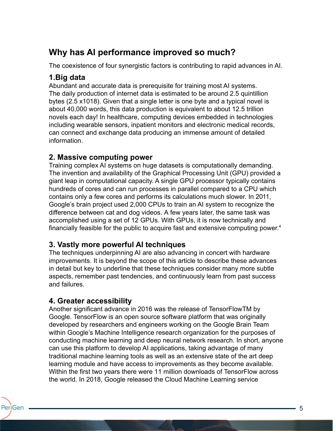# **Why has AI performance improved so much?**

The coexistence of four synergistic factors is contributing to rapid advances in AI.

#### **1.Big data**

Abundant and accurate data is prerequisite for training most AI systems. The daily production of internet data is estimated to be around 2.5 quintillion bytes (2.5 x1018). Given that a single letter is one byte and a typical novel is about 40,000 words, this data production is equivalent to about 12.5 trillion novels each day! In healthcare, computing devices embedded in technologies including wearable sensors, inpatient monitors and electronic medical records, can connect and exchange data producing an immense amount of detailed information.

#### **2. Massive computing power**

Training complex AI systems on huge datasets is computationally demanding. The invention and availability of the Graphical Processing Unit (GPU) provided a giant leap in computational capacity. A single GPU processor typically contains hundreds of cores and can run processes in parallel compared to a CPU which contains only a few cores and performs its calculations much slower. In 2011, Google's brain project used 2,000 CPUs to train an AI system to recognize the difference between cat and dog videos. A few years later, the same task was accomplished using a set of 12 GPUs. With GPUs, it is now technically and financially feasible for the public to acquire fast and extensive computing power.<sup>4</sup>

#### **3. Vastly more powerful AI techniques**

The techniques underpinning AI are also advancing in concert with hardware improvements. It is beyond the scope of this article to describe these advances in detail but key to underline that these techniques consider many more subtle aspects, remember past tendencies, and continuously learn from past success and failures.

#### **4. Greater accessibility**

Another significant advance in 2016 was the release of TensorFlowTM by Google. TensorFlow is an open source software platform that was originally developed by researchers and engineers working on the Google Brain Team within Google's Machine Intelligence research organization for the purposes of conducting machine learning and deep neural network research. In short, anyone can use this platform to develop AI applications, taking advantage of many traditional machine learning tools as well as an extensive state of the art deep learning module and have access to improvements as they become available. Within the first two years there were 11 million downloads of TensorFlow across the world. In 2018, Google released the Cloud Machine Learning service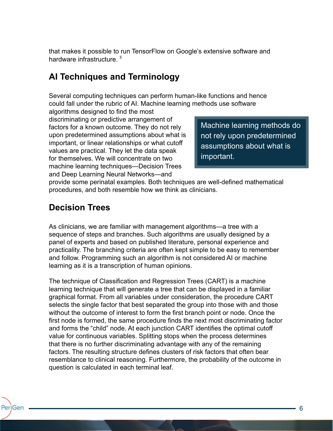that makes it possible to run TensorFlow on Google's extensive software and hardware infrastructure.<sup>5</sup>

#### **AI Techniques and Terminology**

Several computing techniques can perform human-like functions and hence could fall under the rubric of AI. Machine learning methods use software

algorithms designed to find the most discriminating or predictive arrangement of factors for a known outcome. They do not rely upon predetermined assumptions about what is important, or linear relationships or what cutoff values are practical. They let the data speak for themselves. We will concentrate on two machine learning techniques—Decision Trees and Deep Learning Neural Networks—and

Machine learning methods do not rely upon predetermined assumptions about what is important.

provide some perinatal examples. Both techniques are well-defined mathematical procedures, and both resemble how we think as clinicians.

#### **Decision Trees**

As clinicians, we are familiar with management algorithms—a tree with a sequence of steps and branches. Such algorithms are usually designed by a panel of experts and based on published literature, personal experience and practicality. The branching criteria are often kept simple to be easy to remember and follow. Programming such an algorithm is not considered AI or machine learning as it is a transcription of human opinions.

The technique of Classification and Regression Trees (CART) is a machine learning technique that will generate a tree that can be displayed in a familiar graphical format. From all variables under consideration, the procedure CART selects the single factor that best separated the group into those with and those without the outcome of interest to form the first branch point or node. Once the first node is formed, the same procedure finds the next most discriminating factor and forms the "child" node. At each junction CART identifies the optimal cutoff value for continuous variables. Splitting stops when the process determines that there is no further discriminating advantage with any of the remaining factors. The resulting structure defines clusters of risk factors that often bear resemblance to clinical reasoning. Furthermore, the probability of the outcome in question is calculated in each terminal leaf.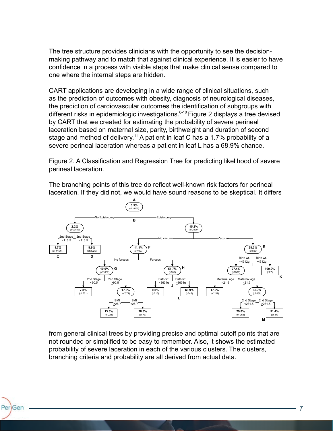The tree structure provides clinicians with the opportunity to see the decisionmaking pathway and to match that against clinical experience. It is easier to have confidence in a process with visible steps that make clinical sense compared to one where the internal steps are hidden.

CART applications are developing in a wide range of clinical situations, such as the prediction of outcomes with obesity, diagnosis of neurological diseases, the prediction of cardiovascular outcomes the identification of subgroups with different risks in epidemiologic investigations.<sup>6-10</sup> Figure 2 displays a tree devised by CART that we created for estimating the probability of severe perineal laceration based on maternal size, parity, birthweight and duration of second stage and method of delivery.<sup>11</sup> A patient in leaf C has a 1.7% probability of a severe perineal laceration whereas a patient in leaf L has a 68.9% chance.

Figure 2. A Classification and Regression Tree for predicting likelihood of severe perineal laceration.

The branching points of this tree do reflect well-known risk factors for perineal laceration. If they did not, we would have sound reasons to be skeptical. It differs



from general clinical trees by providing precise and optimal cutoff points that are not rounded or simplified to be easy to remember. Also, it shows the estimated probability of severe laceration in each of the various clusters. The clusters, branching criteria and probability are all derived from actual data.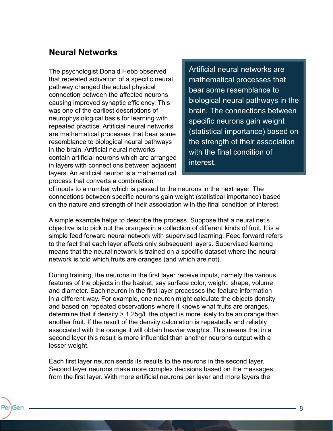#### **Neural Networks**

PeriGen

The psychologist Donald Hebb observed that repeated activation of a specific neural pathway changed the actual physical connection between the affected neurons causing improved synaptic efficiency. This was one of the earliest descriptions of neurophysiological basis for learning with repeated practice. Artificial neural networks are mathematical processes that bear some resemblance to biological neural pathways in the brain. Artificial neural networks contain artificial neurons which are arranged in layers with connections between adjacent layers. An artificial neuron is a mathematical process that converts a combination

Artificial neural networks are mathematical processes that bear some resemblance to biological neural pathways in the brain. The connections between specific neurons gain weight (statistical importance) based on the strength of their association with the final condition of interest.

of inputs to a number which is passed to the neurons in the next layer. The connections between specific neurons gain weight (statistical importance) based on the nature and strength of their association with the final condition of interest.

A simple example helps to describe the process. Suppose that a neural net's objective is to pick out the oranges in a collection of different kinds of fruit. It is a simple feed forward neural network with supervised learning. Feed forward refers to the fact that each layer affects only subsequent layers. Supervised learning means that the neural network is trained on a specific dataset where the neural network is told which fruits are oranges (and which are not).

During training, the neurons in the first layer receive inputs, namely the various features of the objects in the basket, say surface color, weight, shape, volume and diameter. Each neuron in the first layer processes the feature information in a different way. For example, one neuron might calculate the objects density and based on repeated observations where it knows what fruits are oranges, determine that if density > 1.25g/L the object is more likely to be an orange than another fruit. If the result of the density calculation is repeatedly and reliably associated with the orange it will obtain heavier weights. This means that in a second layer this result is more influential than another neurons output with a lesser weight.

Each first layer neuron sends its results to the neurons in the second layer. Second layer neurons make more complex decisions based on the messages from the first layer. With more artificial neurons per layer and more layers the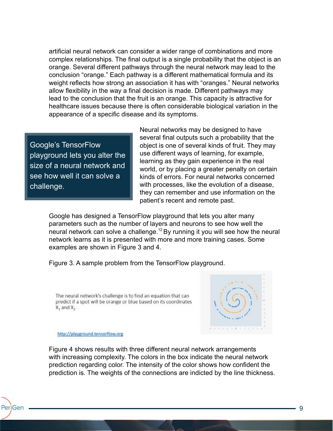artificial neural network can consider a wider range of combinations and more complex relationships. The final output is a single probability that the object is an orange. Several different pathways through the neural network may lead to the conclusion "orange." Each pathway is a different mathematical formula and its weight reflects how strong an association it has with "oranges." Neural networks allow flexibility in the way a final decision is made. Different pathways may lead to the conclusion that the fruit is an orange. This capacity is attractive for healthcare issues because there is often considerable biological variation in the appearance of a specific disease and its symptoms.

Google's TensorFlow playground lets you alter the size of a neural network and see how well it can solve a challenge.

Neural networks may be designed to have several final outputs such a probability that the object is one of several kinds of fruit. They may use different ways of learning, for example, learning as they gain experience in the real world, or by placing a greater penalty on certain kinds of errors. For neural networks concerned with processes, like the evolution of a disease, they can remember and use information on the patient's recent and remote past.

Google has designed a TensorFlow playground that lets you alter many parameters such as the number of layers and neurons to see how well the neural network can solve a challenge.<sup>12</sup> By running it you will see how the neural network learns as it is presented with more and more training cases. Some examples are shown in Figure 3 and 4.

Figure 3. A sample problem from the TensorFlow playground.

The neural network's challenge is to find an equation that can predict if a spot will be orange or blue based on its coordinates  $X_1$  and  $X_2$ 



#### http://playground.tensorflow.org

PeriGen

Figure 4 shows results with three different neural network arrangements with increasing complexity. The colors in the box indicate the neural network prediction regarding color. The intensity of the color shows how confident the prediction is. The weights of the connections are indicted by the line thickness.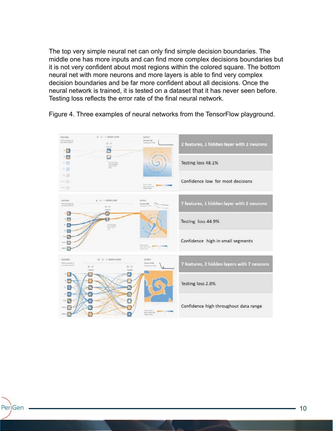The top very simple neural net can only find simple decision boundaries. The middle one has more inputs and can find more complex decisions boundaries but it is not very confident about most regions within the colored square. The bottom neural net with more neurons and more layers is able to find very complex decision boundaries and be far more confident about all decisions. Once the neural network is trained, it is tested on a dataset that it has never seen before. Testing loss reflects the error rate of the final neural network.



Figure 4. Three examples of neural networks from the TensorFlow playground.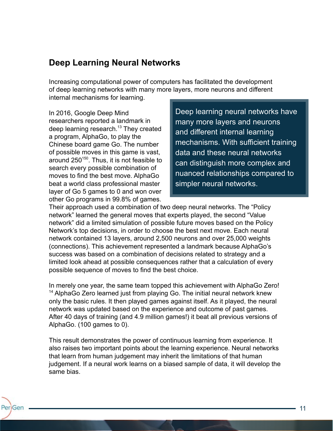#### **Deep Learning Neural Networks**

Increasing computational power of computers has facilitated the development of deep learning networks with many more layers, more neurons and different internal mechanisms for learning.

In 2016, Google Deep Mind researchers reported a landmark in deep learning research.<sup>13</sup> They created a program, AlphaGo, to play the Chinese board game Go. The number of possible moves in this game is vast, around  $250^{150}$ . Thus, it is not feasible to search every possible combination of moves to find the best move. AlphaGo beat a world class professional master layer of Go 5 games to 0 and won over other Go programs in 99.8% of games.

PeriGen

Deep learning neural networks have many more layers and neurons and different internal learning mechanisms. With sufficient training data and these neural networks can distinguish more complex and nuanced relationships compared to simpler neural networks.

Their approach used a combination of two deep neural networks. The "Policy network" learned the general moves that experts played, the second "Value network" did a limited simulation of possible future moves based on the Policy Network's top decisions, in order to choose the best next move. Each neural network contained 13 layers, around 2,500 neurons and over 25,000 weights (connections). This achievement represented a landmark because AlphaGo's success was based on a combination of decisions related to strategy and a limited look ahead at possible consequences rather that a calculation of every possible sequence of moves to find the best choice.

In merely one year, the same team topped this achievement with AlphaGo Zero!  $14$  AlphaGo Zero learned just from playing Go. The initial neural network knew only the basic rules. It then played games against itself. As it played, the neural network was updated based on the experience and outcome of past games. After 40 days of training (and 4.9 million games!) it beat all previous versions of AlphaGo. (100 games to 0).

This result demonstrates the power of continuous learning from experience. It also raises two important points about the learning experience. Neural networks that learn from human judgement may inherit the limitations of that human judgement. If a neural work learns on a biased sample of data, it will develop the same bias.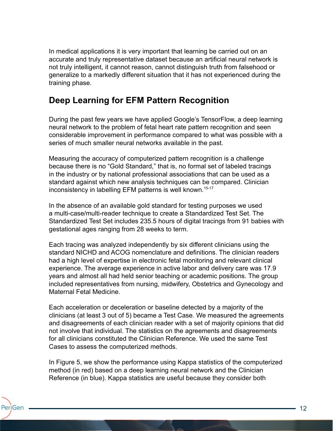In medical applications it is very important that learning be carried out on an accurate and truly representative dataset because an artificial neural network is not truly intelligent, it cannot reason, cannot distinguish truth from falsehood or generalize to a markedly different situation that it has not experienced during the training phase.

# **Deep Learning for EFM Pattern Recognition**

During the past few years we have applied Google's TensorFlow, a deep learning neural network to the problem of fetal heart rate pattern recognition and seen considerable improvement in performance compared to what was possible with a series of much smaller neural networks available in the past.

Measuring the accuracy of computerized pattern recognition is a challenge because there is no "Gold Standard," that is, no formal set of labeled tracings in the industry or by national professional associations that can be used as a standard against which new analysis techniques can be compared. Clinician inconsistency in labelling EFM patterns is well known.<sup>15-17</sup>

In the absence of an available gold standard for testing purposes we used a multi-case/multi-reader technique to create a Standardized Test Set. The Standardized Test Set includes 235.5 hours of digital tracings from 91 babies with gestational ages ranging from 28 weeks to term.

Each tracing was analyzed independently by six different clinicians using the standard NICHD and ACOG nomenclature and definitions. The clinician readers had a high level of expertise in electronic fetal monitoring and relevant clinical experience. The average experience in active labor and delivery care was 17.9 years and almost all had held senior teaching or academic positions. The group included representatives from nursing, midwifery, Obstetrics and Gynecology and Maternal Fetal Medicine.

Each acceleration or deceleration or baseline detected by a majority of the clinicians (at least 3 out of 5) became a Test Case. We measured the agreements and disagreements of each clinician reader with a set of majority opinions that did not involve that individual. The statistics on the agreements and disagreements for all clinicians constituted the Clinician Reference. We used the same Test Cases to assess the computerized methods.

In Figure 5, we show the performance using Kappa statistics of the computerized method (in red) based on a deep learning neural network and the Clinician Reference (in blue). Kappa statistics are useful because they consider both

PeriGen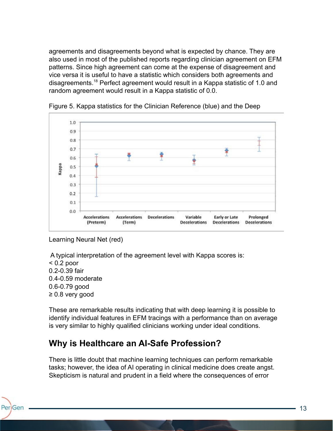agreements and disagreements beyond what is expected by chance. They are also used in most of the published reports regarding clinician agreement on EFM patterns. Since high agreement can come at the expense of disagreement and vice versa it is useful to have a statistic which considers both agreements and disagreements.<sup>18</sup> Perfect agreement would result in a Kappa statistic of 1.0 and random agreement would result in a Kappa statistic of 0.0.



Figure 5. Kappa statistics for the Clinician Reference (blue) and the Deep

Learning Neural Net (red)

A typical interpretation of the agreement level with Kappa scores is:

 $< 0.2$  poor 0.2-0.39 fair 0.4-0.59 moderate 0.6-0.79 good ≥ 0.8 very good

PeriGen

These are remarkable results indicating that with deep learning it is possible to identify individual features in EFM tracings with a performance than on average is very similar to highly qualified clinicians working under ideal conditions.

# **Why is Healthcare an AI-Safe Profession?**

There is little doubt that machine learning techniques can perform remarkable tasks; however, the idea of AI operating in clinical medicine does create angst. Skepticism is natural and prudent in a field where the consequences of error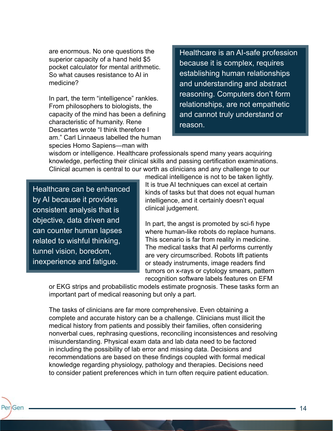are enormous. No one questions the superior capacity of a hand held \$5 pocket calculator for mental arithmetic. So what causes resistance to AI in medicine?

In part, the term "intelligence" rankles. From philosophers to biologists, the capacity of the mind has been a defining characteristic of humanity. Rene Descartes wrote "I think therefore I am." Carl Linnaeus labelled the human species Homo Sapiens—man with

Healthcare is an AI-safe profession because it is complex, requires establishing human relationships and understanding and abstract reasoning. Computers don't form relationships, are not empathetic and cannot truly understand or reason.

wisdom or intelligence. Healthcare professionals spend many years acquiring knowledge, perfecting their clinical skills and passing certification examinations. Clinical acumen is central to our worth as clinicians and any challenge to our

Healthcare can be enhanced by AI because it provides consistent analysis that is objective, data driven and can counter human lapses related to wishful thinking, tunnel vision, boredom, inexperience and fatigue.

medical intelligence is not to be taken lightly. It is true AI techniques can excel at certain kinds of tasks but that does not equal human intelligence, and it certainly doesn't equal clinical judgement.

In part, the angst is promoted by sci-fi hype where human-like robots do replace humans. This scenario is far from reality in medicine. The medical tasks that AI performs currently are very circumscribed. Robots lift patients or steady instruments, image readers find tumors on x-rays or cytology smears, pattern recognition software labels features on EFM

or EKG strips and probabilistic models estimate prognosis. These tasks form an important part of medical reasoning but only a part.

The tasks of clinicians are far more comprehensive. Even obtaining a complete and accurate history can be a challenge. Clinicians must illicit the medical history from patients and possibly their families, often considering nonverbal cues, rephrasing questions, reconciling inconsistences and resolving misunderstanding. Physical exam data and lab data need to be factored in including the possibility of lab error and missing data. Decisions and recommendations are based on these findings coupled with formal medical knowledge regarding physiology, pathology and therapies. Decisions need to consider patient preferences which in turn often require patient education.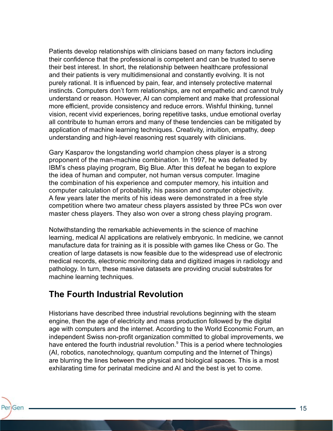Patients develop relationships with clinicians based on many factors including their confidence that the professional is competent and can be trusted to serve their best interest. In short, the relationship between healthcare professional and their patients is very multidimensional and constantly evolving. It is not purely rational. It is influenced by pain, fear, and intensely protective maternal instincts. Computers don't form relationships, are not empathetic and cannot truly understand or reason. However, AI can complement and make that professional more efficient, provide consistency and reduce errors. Wishful thinking, tunnel vision, recent vivid experiences, boring repetitive tasks, undue emotional overlay all contribute to human errors and many of these tendencies can be mitigated by application of machine learning techniques. Creativity, intuition, empathy, deep understanding and high-level reasoning rest squarely with clinicians.

Gary Kasparov the longstanding world champion chess player is a strong proponent of the man-machine combination. In 1997, he was defeated by IBM's chess playing program, Big Blue. After this defeat he began to explore the idea of human and computer, not human versus computer. Imagine the combination of his experience and computer memory, his intuition and computer calculation of probability, his passion and computer objectivity. A few years later the merits of his ideas were demonstrated in a free style competition where two amateur chess players assisted by three PCs won over master chess players. They also won over a strong chess playing program.

Notwithstanding the remarkable achievements in the science of machine learning, medical AI applications are relatively embryonic. In medicine, we cannot manufacture data for training as it is possible with games like Chess or Go. The creation of large datasets is now feasible due to the widespread use of electronic medical records, electronic monitoring data and digitized images in radiology and pathology. In turn, these massive datasets are providing crucial substrates for machine learning techniques.

#### **The Fourth Industrial Revolution**

Historians have described three industrial revolutions beginning with the steam engine, then the age of electricity and mass production followed by the digital age with computers and the internet. According to the World Economic Forum, an independent Swiss non-profit organization committed to global improvements, we have entered the fourth industrial revolution. $^9$  This is a period where technologies (AI, robotics, nanotechnology, quantum computing and the Internet of Things) are blurring the lines between the physical and biological spaces. This is a most exhilarating time for perinatal medicine and AI and the best is yet to come.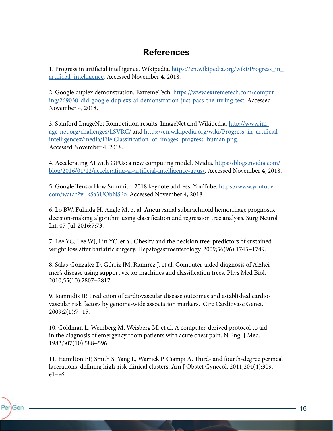#### **References**

1. Progress in artificial intelligence. Wikipedia. https://en.wikipedia.org/wiki/Progress\_in\_ artificial\_intelligence. Accessed November 4, 2018.

2. Google duplex demonstration. ExtremeTech. https://www.extremetech.com/computing/269030-did-google-duplexs-ai-demonstration-just-pass-the-turing-test. Accessed November 4, 2018.

3. Stanford ImageNet Rompetition results. ImageNet and Wikipedia. http://www.image-net.org/challenges/LSVRC/ and https://en.wikipedia.org/wiki/Progress\_in\_artificial\_ intelligence#/media/File:Classification\_of\_images\_progress\_human.png. Accessed November 4, 2018.

4. Accelerating AI with GPUs: a new computing model. Nvidia. https://blogs.nvidia.com/ blog/2016/01/12/accelerating-ai-artificial-intelligence-gpus/. Accessed November 4, 2018.

5. Google TensorFlow Summit—2018 keynote address. YouTube. https://www.youtube. com/watch?v=kSa3UObNS6o. Accessed November 4, 2018.

6. Lo BW, Fukuda H, Angle M, et al. Aneurysmal subarachnoid hemorrhage prognostic decision-making algorithm using classification and regression tree analysis. Surg Neurol Int. 07-Jul-2016;7:73.

7. Lee YC, Lee WJ, Lin YC, et al. Obesity and the decision tree: predictors of sustained weight loss after bariatric surgery. Hepatogastroenterology. 2009;56(96):1745−1749.

8. Salas-Gonzalez D, Górriz JM, Ramírez J, et al. Computer-aided diagnosis of Alzheimer's disease using support vector machines and classification trees. Phys Med Biol. 2010;55(10):2807−2817.

9. Ioannidis JP. Prediction of cardiovascular disease outcomes and established cardiovascular risk factors by genome-wide association markers. Circ Cardiovasc Genet. 2009;2(1):7−15.

10. Goldman L, Weinberg M, Weisberg M, et al. A computer-derived protocol to aid in the diagnosis of emergency room patients with acute chest pain. N Engl J Med. 1982;307(10):588−596.

PeriGen

11. Hamilton EF, Smith S, Yang L, Warrick P, Ciampi A. Third- and fourth-degree perineal lacerations: defining high-risk clinical clusters. Am J Obstet Gynecol. 2011;204(4):309. e1−e6.